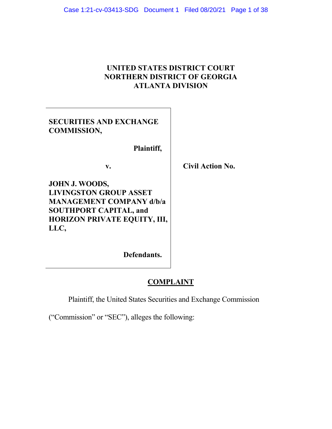# **UNITED STATES DISTRICT COURT NORTHERN DISTRICT OF GEORGIA ATLANTA DIVISION**

| <b>SECURITIES AND EXCHANGE</b> |  |
|--------------------------------|--|
| <b>COMMISSION,</b>             |  |

 **Plaintiff,** 

v. Civil Action No.

**JOHN J. WOODS, LIVINGSTON GROUP ASSET MANAGEMENT COMPANY d/b/a SOUTHPORT CAPITAL, and HORIZON PRIVATE EQUITY, III, LLC,**

**Defendants.** 

# **COMPLAINT**

Plaintiff, the United States Securities and Exchange Commission

("Commission" or "SEC"), alleges the following: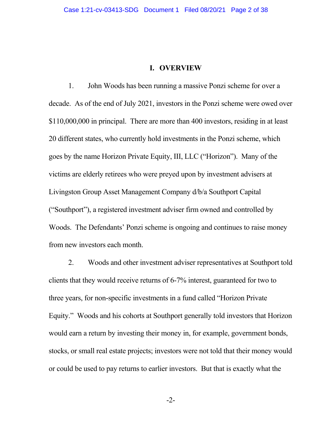#### **I. OVERVIEW**

1. John Woods has been running a massive Ponzi scheme for over a decade. As of the end of July 2021, investors in the Ponzi scheme were owed over \$110,000,000 in principal. There are more than 400 investors, residing in at least 20 different states, who currently hold investments in the Ponzi scheme, which goes by the name Horizon Private Equity, III, LLC ("Horizon"). Many of the victims are elderly retirees who were preyed upon by investment advisers at Livingston Group Asset Management Company d/b/a Southport Capital ("Southport"), a registered investment adviser firm owned and controlled by Woods. The Defendants' Ponzi scheme is ongoing and continues to raise money from new investors each month.

2. Woods and other investment adviser representatives at Southport told clients that they would receive returns of 6-7% interest, guaranteed for two to three years, for non-specific investments in a fund called "Horizon Private Equity." Woods and his cohorts at Southport generally told investors that Horizon would earn a return by investing their money in, for example, government bonds, stocks, or small real estate projects; investors were not told that their money would or could be used to pay returns to earlier investors. But that is exactly what the

-2-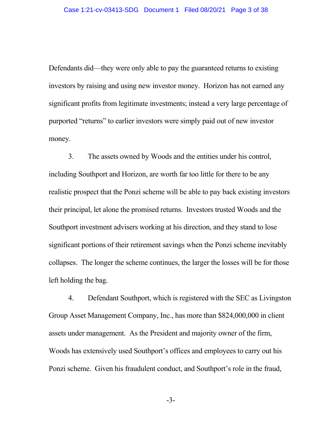Defendants did—they were only able to pay the guaranteed returns to existing investors by raising and using new investor money. Horizon has not earned any significant profits from legitimate investments; instead a very large percentage of purported "returns" to earlier investors were simply paid out of new investor money.

3. The assets owned by Woods and the entities under his control, including Southport and Horizon, are worth far too little for there to be any realistic prospect that the Ponzi scheme will be able to pay back existing investors their principal, let alone the promised returns. Investors trusted Woods and the Southport investment advisers working at his direction, and they stand to lose significant portions of their retirement savings when the Ponzi scheme inevitably collapses. The longer the scheme continues, the larger the losses will be for those left holding the bag.

4. Defendant Southport, which is registered with the SEC as Livingston Group Asset Management Company, Inc., has more than \$824,000,000 in client assets under management. As the President and majority owner of the firm, Woods has extensively used Southport's offices and employees to carry out his Ponzi scheme. Given his fraudulent conduct, and Southport's role in the fraud,

-3-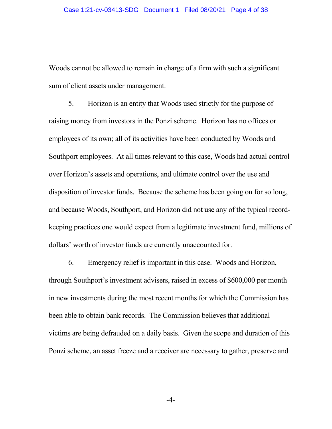Woods cannot be allowed to remain in charge of a firm with such a significant sum of client assets under management.

5. Horizon is an entity that Woods used strictly for the purpose of raising money from investors in the Ponzi scheme. Horizon has no offices or employees of its own; all of its activities have been conducted by Woods and Southport employees. At all times relevant to this case, Woods had actual control over Horizon's assets and operations, and ultimate control over the use and disposition of investor funds. Because the scheme has been going on for so long, and because Woods, Southport, and Horizon did not use any of the typical recordkeeping practices one would expect from a legitimate investment fund, millions of dollars' worth of investor funds are currently unaccounted for.

6. Emergency relief is important in this case. Woods and Horizon, through Southport's investment advisers, raised in excess of \$600,000 per month in new investments during the most recent months for which the Commission has been able to obtain bank records. The Commission believes that additional victims are being defrauded on a daily basis. Given the scope and duration of this Ponzi scheme, an asset freeze and a receiver are necessary to gather, preserve and

-4-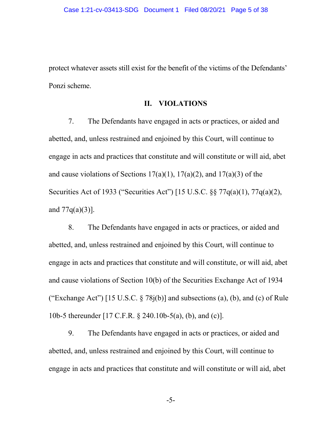protect whatever assets still exist for the benefit of the victims of the Defendants' Ponzi scheme.

#### **II. VIOLATIONS**

7. The Defendants have engaged in acts or practices, or aided and abetted, and, unless restrained and enjoined by this Court, will continue to engage in acts and practices that constitute and will constitute or will aid, abet and cause violations of Sections  $17(a)(1)$ ,  $17(a)(2)$ , and  $17(a)(3)$  of the Securities Act of 1933 ("Securities Act") [15 U.S.C. §§ 77q(a)(1), 77q(a)(2), and  $77q(a)(3)$ ].

8. The Defendants have engaged in acts or practices, or aided and abetted, and, unless restrained and enjoined by this Court, will continue to engage in acts and practices that constitute and will constitute, or will aid, abet and cause violations of Section 10(b) of the Securities Exchange Act of 1934 ("Exchange Act") [15 U.S.C.  $\S$  78 $i(b)$ ] and subsections (a), (b), and (c) of Rule 10b-5 thereunder [17 C.F.R. § 240.10b-5(a), (b), and (c)].

9. The Defendants have engaged in acts or practices, or aided and abetted, and, unless restrained and enjoined by this Court, will continue to engage in acts and practices that constitute and will constitute or will aid, abet

-5-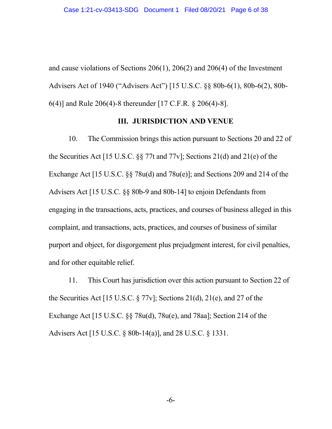and cause violations of Sections 206(1), 206(2) and 206(4) of the Investment Advisers Act of 1940 ("Advisers Act") [15 U.S.C. §§ 80b-6(1), 80b-6(2), 80b-6(4)] and Rule 206(4)-8 thereunder [17 C.F.R. § 206(4)-8].

### **III. JURISDICTION AND VENUE**

10. The Commission brings this action pursuant to Sections 20 and 22 of the Securities Act [15 U.S.C. §§ 77t and 77v]; Sections 21(d) and 21(e) of the Exchange Act [15 U.S.C. §§ 78u(d) and 78u(e)]; and Sections 209 and 214 of the Advisers Act [15 U.S.C. §§ 80b-9 and 80b-14] to enjoin Defendants from engaging in the transactions, acts, practices, and courses of business alleged in this complaint, and transactions, acts, practices, and courses of business of similar purport and object, for disgorgement plus prejudgment interest, for civil penalties, and for other equitable relief.

11. This Court has jurisdiction over this action pursuant to Section 22 of the Securities Act [15 U.S.C. § 77v]; Sections 21(d), 21(e), and 27 of the Exchange Act [15 U.S.C. §§ 78u(d), 78u(e), and 78aa]; Section 214 of the Advisers Act [15 U.S.C. § 80b-14(a)], and 28 U.S.C. § 1331.

-6-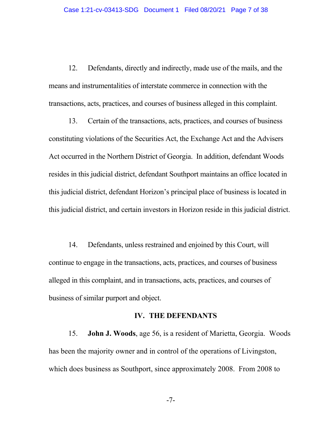12. Defendants, directly and indirectly, made use of the mails, and the means and instrumentalities of interstate commerce in connection with the transactions, acts, practices, and courses of business alleged in this complaint.

13. Certain of the transactions, acts, practices, and courses of business constituting violations of the Securities Act, the Exchange Act and the Advisers Act occurred in the Northern District of Georgia. In addition, defendant Woods resides in this judicial district, defendant Southport maintains an office located in this judicial district, defendant Horizon's principal place of business is located in this judicial district, and certain investors in Horizon reside in this judicial district.

14. Defendants, unless restrained and enjoined by this Court, will continue to engage in the transactions, acts, practices, and courses of business alleged in this complaint, and in transactions, acts, practices, and courses of business of similar purport and object.

#### **IV. THE DEFENDANTS**

15. **John J. Woods**, age 56, is a resident of Marietta, Georgia. Woods has been the majority owner and in control of the operations of Livingston, which does business as Southport, since approximately 2008. From 2008 to

-7-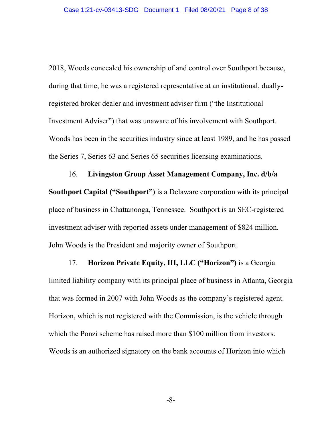2018, Woods concealed his ownership of and control over Southport because, during that time, he was a registered representative at an institutional, duallyregistered broker dealer and investment adviser firm ("the Institutional Investment Adviser") that was unaware of his involvement with Southport. Woods has been in the securities industry since at least 1989, and he has passed the Series 7, Series 63 and Series 65 securities licensing examinations.

16. **Livingston Group Asset Management Company, Inc. d/b/a Southport Capital ("Southport")** is a Delaware corporation with its principal place of business in Chattanooga, Tennessee. Southport is an SEC-registered investment adviser with reported assets under management of \$824 million. John Woods is the President and majority owner of Southport.

17. **Horizon Private Equity, III, LLC ("Horizon")** is a Georgia limited liability company with its principal place of business in Atlanta, Georgia that was formed in 2007 with John Woods as the company's registered agent. Horizon, which is not registered with the Commission, is the vehicle through which the Ponzi scheme has raised more than \$100 million from investors. Woods is an authorized signatory on the bank accounts of Horizon into which

-8-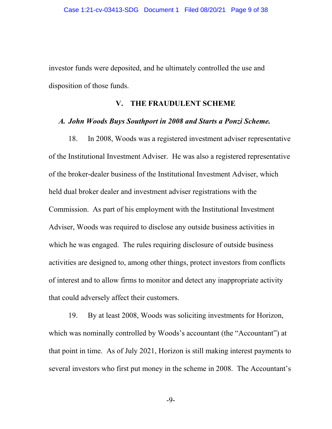investor funds were deposited, and he ultimately controlled the use and disposition of those funds.

#### **V. THE FRAUDULENT SCHEME**

#### *A. John Woods Buys Southport in 2008 and Starts a Ponzi Scheme.*

18. In 2008, Woods was a registered investment adviser representative of the Institutional Investment Adviser. He was also a registered representative of the broker-dealer business of the Institutional Investment Adviser, which held dual broker dealer and investment adviser registrations with the Commission. As part of his employment with the Institutional Investment Adviser, Woods was required to disclose any outside business activities in which he was engaged. The rules requiring disclosure of outside business activities are designed to, among other things, protect investors from conflicts of interest and to allow firms to monitor and detect any inappropriate activity that could adversely affect their customers.

19. By at least 2008, Woods was soliciting investments for Horizon, which was nominally controlled by Woods's accountant (the "Accountant") at that point in time. As of July 2021, Horizon is still making interest payments to several investors who first put money in the scheme in 2008. The Accountant's

-9-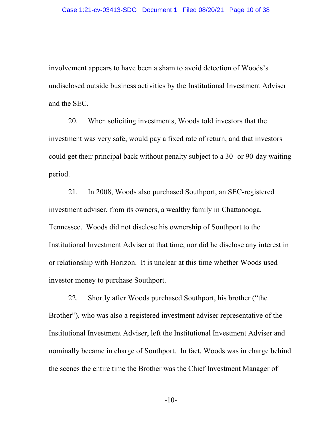involvement appears to have been a sham to avoid detection of Woods's undisclosed outside business activities by the Institutional Investment Adviser and the SEC.

20. When soliciting investments, Woods told investors that the investment was very safe, would pay a fixed rate of return, and that investors could get their principal back without penalty subject to a 30- or 90-day waiting period.

21. In 2008, Woods also purchased Southport, an SEC-registered investment adviser, from its owners, a wealthy family in Chattanooga, Tennessee. Woods did not disclose his ownership of Southport to the Institutional Investment Adviser at that time, nor did he disclose any interest in or relationship with Horizon. It is unclear at this time whether Woods used investor money to purchase Southport.

22. Shortly after Woods purchased Southport, his brother ("the Brother"), who was also a registered investment adviser representative of the Institutional Investment Adviser, left the Institutional Investment Adviser and nominally became in charge of Southport. In fact, Woods was in charge behind the scenes the entire time the Brother was the Chief Investment Manager of

-10-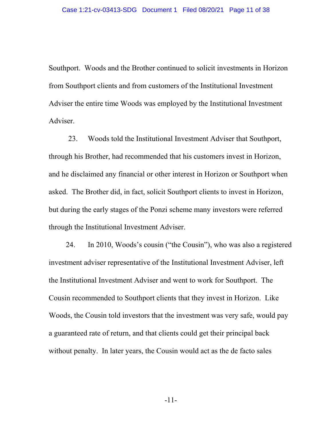Southport. Woods and the Brother continued to solicit investments in Horizon from Southport clients and from customers of the Institutional Investment Adviser the entire time Woods was employed by the Institutional Investment Adviser.

23. Woods told the Institutional Investment Adviser that Southport, through his Brother, had recommended that his customers invest in Horizon, and he disclaimed any financial or other interest in Horizon or Southport when asked. The Brother did, in fact, solicit Southport clients to invest in Horizon, but during the early stages of the Ponzi scheme many investors were referred through the Institutional Investment Adviser.

24. In 2010, Woods's cousin ("the Cousin"), who was also a registered investment adviser representative of the Institutional Investment Adviser, left the Institutional Investment Adviser and went to work for Southport. The Cousin recommended to Southport clients that they invest in Horizon. Like Woods, the Cousin told investors that the investment was very safe, would pay a guaranteed rate of return, and that clients could get their principal back without penalty. In later years, the Cousin would act as the de facto sales

-11-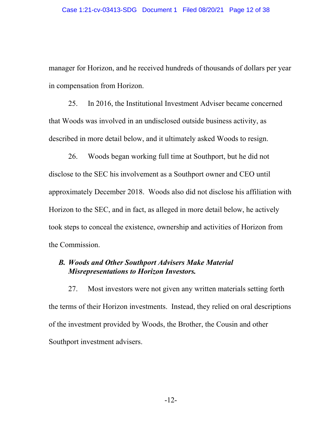manager for Horizon, and he received hundreds of thousands of dollars per year in compensation from Horizon.

25. In 2016, the Institutional Investment Adviser became concerned that Woods was involved in an undisclosed outside business activity, as described in more detail below, and it ultimately asked Woods to resign.

26. Woods began working full time at Southport, but he did not disclose to the SEC his involvement as a Southport owner and CEO until approximately December 2018. Woods also did not disclose his affiliation with Horizon to the SEC, and in fact, as alleged in more detail below, he actively took steps to conceal the existence, ownership and activities of Horizon from the Commission.

## *B. Woods and Other Southport Advisers Make Material Misrepresentations to Horizon Investors.*

27. Most investors were not given any written materials setting forth the terms of their Horizon investments. Instead, they relied on oral descriptions of the investment provided by Woods, the Brother, the Cousin and other Southport investment advisers.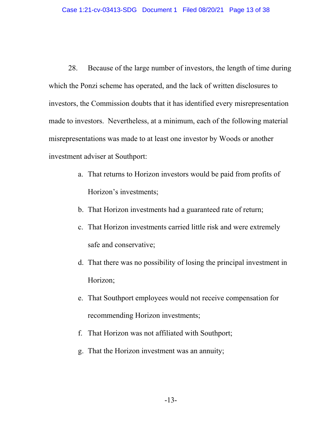28. Because of the large number of investors, the length of time during which the Ponzi scheme has operated, and the lack of written disclosures to investors, the Commission doubts that it has identified every misrepresentation made to investors. Nevertheless, at a minimum, each of the following material misrepresentations was made to at least one investor by Woods or another investment adviser at Southport:

- a. That returns to Horizon investors would be paid from profits of Horizon's investments;
- b. That Horizon investments had a guaranteed rate of return;
- c. That Horizon investments carried little risk and were extremely safe and conservative;
- d. That there was no possibility of losing the principal investment in Horizon;
- e. That Southport employees would not receive compensation for recommending Horizon investments;
- f. That Horizon was not affiliated with Southport;
- g. That the Horizon investment was an annuity;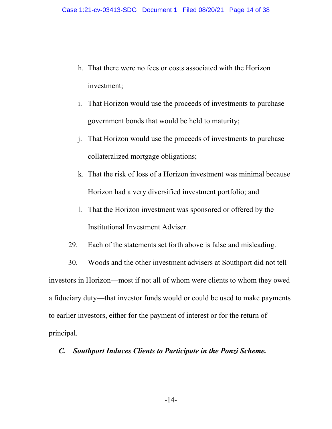- h. That there were no fees or costs associated with the Horizon investment;
- i. That Horizon would use the proceeds of investments to purchase government bonds that would be held to maturity;
- j. That Horizon would use the proceeds of investments to purchase collateralized mortgage obligations;
- k. That the risk of loss of a Horizon investment was minimal because Horizon had a very diversified investment portfolio; and
- l. That the Horizon investment was sponsored or offered by the Institutional Investment Adviser.
- 29. Each of the statements set forth above is false and misleading.

30. Woods and the other investment advisers at Southport did not tell investors in Horizon—most if not all of whom were clients to whom they owed a fiduciary duty—that investor funds would or could be used to make payments to earlier investors, either for the payment of interest or for the return of principal.

## *C. Southport Induces Clients to Participate in the Ponzi Scheme.*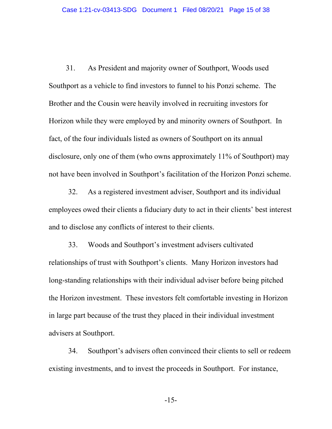31. As President and majority owner of Southport, Woods used Southport as a vehicle to find investors to funnel to his Ponzi scheme. The Brother and the Cousin were heavily involved in recruiting investors for Horizon while they were employed by and minority owners of Southport. In fact, of the four individuals listed as owners of Southport on its annual disclosure, only one of them (who owns approximately 11% of Southport) may not have been involved in Southport's facilitation of the Horizon Ponzi scheme.

32. As a registered investment adviser, Southport and its individual employees owed their clients a fiduciary duty to act in their clients' best interest and to disclose any conflicts of interest to their clients.

33. Woods and Southport's investment advisers cultivated relationships of trust with Southport's clients. Many Horizon investors had long-standing relationships with their individual adviser before being pitched the Horizon investment. These investors felt comfortable investing in Horizon in large part because of the trust they placed in their individual investment advisers at Southport.

34. Southport's advisers often convinced their clients to sell or redeem existing investments, and to invest the proceeds in Southport. For instance,

-15-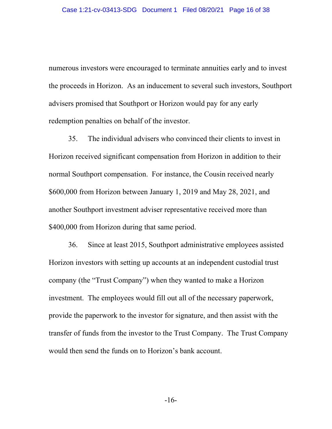numerous investors were encouraged to terminate annuities early and to invest the proceeds in Horizon. As an inducement to several such investors, Southport advisers promised that Southport or Horizon would pay for any early redemption penalties on behalf of the investor.

35. The individual advisers who convinced their clients to invest in Horizon received significant compensation from Horizon in addition to their normal Southport compensation. For instance, the Cousin received nearly \$600,000 from Horizon between January 1, 2019 and May 28, 2021, and another Southport investment adviser representative received more than \$400,000 from Horizon during that same period.

36. Since at least 2015, Southport administrative employees assisted Horizon investors with setting up accounts at an independent custodial trust company (the "Trust Company") when they wanted to make a Horizon investment. The employees would fill out all of the necessary paperwork, provide the paperwork to the investor for signature, and then assist with the transfer of funds from the investor to the Trust Company. The Trust Company would then send the funds on to Horizon's bank account.

-16-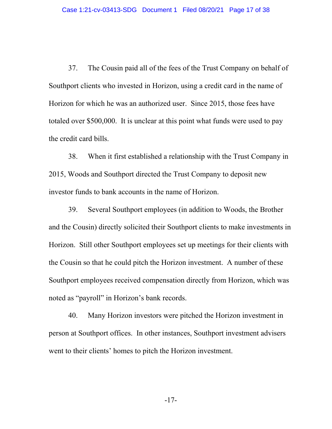37. The Cousin paid all of the fees of the Trust Company on behalf of Southport clients who invested in Horizon, using a credit card in the name of Horizon for which he was an authorized user. Since 2015, those fees have totaled over \$500,000. It is unclear at this point what funds were used to pay the credit card bills.

38. When it first established a relationship with the Trust Company in 2015, Woods and Southport directed the Trust Company to deposit new investor funds to bank accounts in the name of Horizon.

39. Several Southport employees (in addition to Woods, the Brother and the Cousin) directly solicited their Southport clients to make investments in Horizon. Still other Southport employees set up meetings for their clients with the Cousin so that he could pitch the Horizon investment. A number of these Southport employees received compensation directly from Horizon, which was noted as "payroll" in Horizon's bank records.

40. Many Horizon investors were pitched the Horizon investment in person at Southport offices. In other instances, Southport investment advisers went to their clients' homes to pitch the Horizon investment.

-17-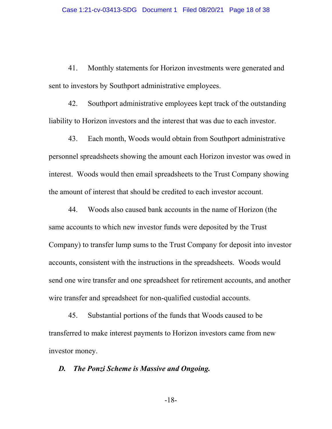41. Monthly statements for Horizon investments were generated and sent to investors by Southport administrative employees.

42. Southport administrative employees kept track of the outstanding liability to Horizon investors and the interest that was due to each investor.

43. Each month, Woods would obtain from Southport administrative personnel spreadsheets showing the amount each Horizon investor was owed in interest. Woods would then email spreadsheets to the Trust Company showing the amount of interest that should be credited to each investor account.

44. Woods also caused bank accounts in the name of Horizon (the same accounts to which new investor funds were deposited by the Trust Company) to transfer lump sums to the Trust Company for deposit into investor accounts, consistent with the instructions in the spreadsheets. Woods would send one wire transfer and one spreadsheet for retirement accounts, and another wire transfer and spreadsheet for non-qualified custodial accounts.

45. Substantial portions of the funds that Woods caused to be transferred to make interest payments to Horizon investors came from new investor money.

### *D. The Ponzi Scheme is Massive and Ongoing.*

-18-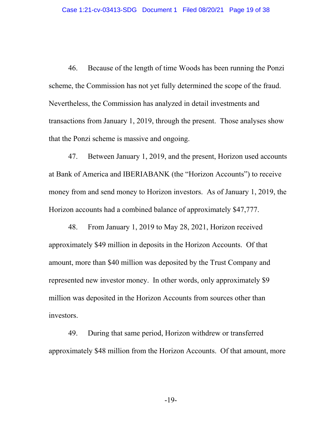46. Because of the length of time Woods has been running the Ponzi scheme, the Commission has not yet fully determined the scope of the fraud. Nevertheless, the Commission has analyzed in detail investments and transactions from January 1, 2019, through the present. Those analyses show that the Ponzi scheme is massive and ongoing.

47. Between January 1, 2019, and the present, Horizon used accounts at Bank of America and IBERIABANK (the "Horizon Accounts") to receive money from and send money to Horizon investors. As of January 1, 2019, the Horizon accounts had a combined balance of approximately \$47,777.

48. From January 1, 2019 to May 28, 2021, Horizon received approximately \$49 million in deposits in the Horizon Accounts. Of that amount, more than \$40 million was deposited by the Trust Company and represented new investor money. In other words, only approximately \$9 million was deposited in the Horizon Accounts from sources other than investors.

49. During that same period, Horizon withdrew or transferred approximately \$48 million from the Horizon Accounts. Of that amount, more

-19-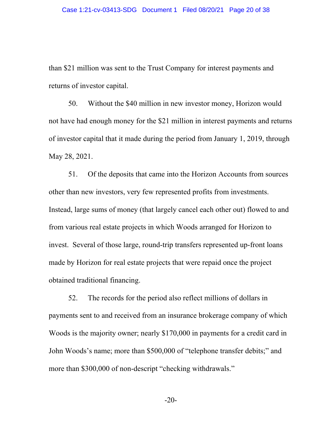than \$21 million was sent to the Trust Company for interest payments and returns of investor capital.

50. Without the \$40 million in new investor money, Horizon would not have had enough money for the \$21 million in interest payments and returns of investor capital that it made during the period from January 1, 2019, through May 28, 2021.

51. Of the deposits that came into the Horizon Accounts from sources other than new investors, very few represented profits from investments. Instead, large sums of money (that largely cancel each other out) flowed to and from various real estate projects in which Woods arranged for Horizon to invest. Several of those large, round-trip transfers represented up-front loans made by Horizon for real estate projects that were repaid once the project obtained traditional financing.

52. The records for the period also reflect millions of dollars in payments sent to and received from an insurance brokerage company of which Woods is the majority owner; nearly \$170,000 in payments for a credit card in John Woods's name; more than \$500,000 of "telephone transfer debits;" and more than \$300,000 of non-descript "checking withdrawals."

-20-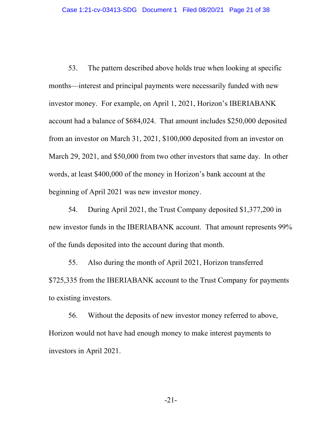53. The pattern described above holds true when looking at specific months—interest and principal payments were necessarily funded with new investor money. For example, on April 1, 2021, Horizon's IBERIABANK account had a balance of \$684,024. That amount includes \$250,000 deposited from an investor on March 31, 2021, \$100,000 deposited from an investor on March 29, 2021, and \$50,000 from two other investors that same day. In other words, at least \$400,000 of the money in Horizon's bank account at the beginning of April 2021 was new investor money.

54. During April 2021, the Trust Company deposited \$1,377,200 in new investor funds in the IBERIABANK account. That amount represents 99% of the funds deposited into the account during that month.

55. Also during the month of April 2021, Horizon transferred \$725,335 from the IBERIABANK account to the Trust Company for payments to existing investors.

56. Without the deposits of new investor money referred to above, Horizon would not have had enough money to make interest payments to investors in April 2021.

-21-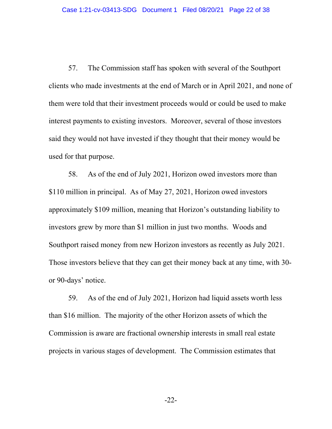57. The Commission staff has spoken with several of the Southport clients who made investments at the end of March or in April 2021, and none of them were told that their investment proceeds would or could be used to make interest payments to existing investors. Moreover, several of those investors said they would not have invested if they thought that their money would be used for that purpose.

58. As of the end of July 2021, Horizon owed investors more than \$110 million in principal. As of May 27, 2021, Horizon owed investors approximately \$109 million, meaning that Horizon's outstanding liability to investors grew by more than \$1 million in just two months. Woods and Southport raised money from new Horizon investors as recently as July 2021. Those investors believe that they can get their money back at any time, with 30 or 90-days' notice.

59. As of the end of July 2021, Horizon had liquid assets worth less than \$16 million. The majority of the other Horizon assets of which the Commission is aware are fractional ownership interests in small real estate projects in various stages of development. The Commission estimates that

-22-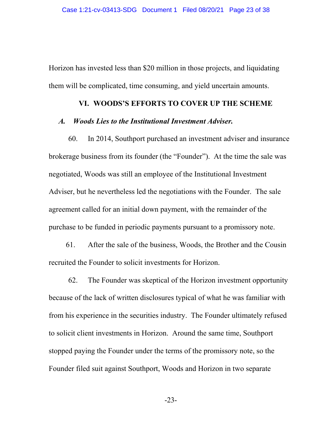Horizon has invested less than \$20 million in those projects, and liquidating them will be complicated, time consuming, and yield uncertain amounts.

#### **VI. WOODS'S EFFORTS TO COVER UP THE SCHEME**

#### *A. Woods Lies to the Institutional Investment Adviser.*

60. In 2014, Southport purchased an investment adviser and insurance brokerage business from its founder (the "Founder"). At the time the sale was negotiated, Woods was still an employee of the Institutional Investment Adviser, but he nevertheless led the negotiations with the Founder. The sale agreement called for an initial down payment, with the remainder of the purchase to be funded in periodic payments pursuant to a promissory note.

61. After the sale of the business, Woods, the Brother and the Cousin recruited the Founder to solicit investments for Horizon.

62. The Founder was skeptical of the Horizon investment opportunity because of the lack of written disclosures typical of what he was familiar with from his experience in the securities industry. The Founder ultimately refused to solicit client investments in Horizon. Around the same time, Southport stopped paying the Founder under the terms of the promissory note, so the Founder filed suit against Southport, Woods and Horizon in two separate

-23-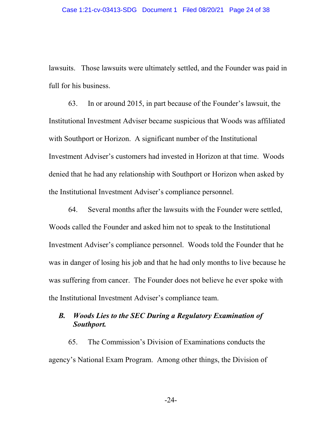lawsuits. Those lawsuits were ultimately settled, and the Founder was paid in full for his business.

63. In or around 2015, in part because of the Founder's lawsuit, the Institutional Investment Adviser became suspicious that Woods was affiliated with Southport or Horizon. A significant number of the Institutional Investment Adviser's customers had invested in Horizon at that time. Woods denied that he had any relationship with Southport or Horizon when asked by the Institutional Investment Adviser's compliance personnel.

64. Several months after the lawsuits with the Founder were settled, Woods called the Founder and asked him not to speak to the Institutional Investment Adviser's compliance personnel. Woods told the Founder that he was in danger of losing his job and that he had only months to live because he was suffering from cancer. The Founder does not believe he ever spoke with the Institutional Investment Adviser's compliance team.

## *B. Woods Lies to the SEC During a Regulatory Examination of Southport.*

65. The Commission's Division of Examinations conducts the agency's National Exam Program. Among other things, the Division of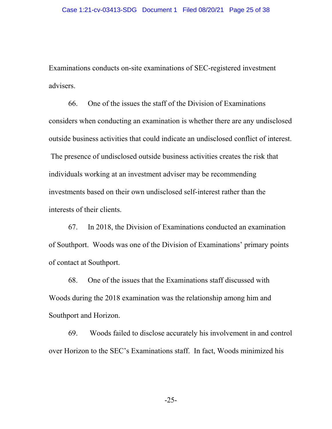Examinations conducts on-site examinations of SEC-registered investment advisers.

66. One of the issues the staff of the Division of Examinations considers when conducting an examination is whether there are any undisclosed outside business activities that could indicate an undisclosed conflict of interest. The presence of undisclosed outside business activities creates the risk that individuals working at an investment adviser may be recommending investments based on their own undisclosed self-interest rather than the interests of their clients.

67. In 2018, the Division of Examinations conducted an examination of Southport. Woods was one of the Division of Examinations' primary points of contact at Southport.

68. One of the issues that the Examinations staff discussed with Woods during the 2018 examination was the relationship among him and Southport and Horizon.

69. Woods failed to disclose accurately his involvement in and control over Horizon to the SEC's Examinations staff. In fact, Woods minimized his

-25-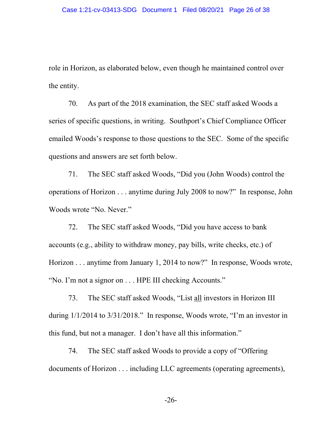role in Horizon, as elaborated below, even though he maintained control over the entity.

70. As part of the 2018 examination, the SEC staff asked Woods a series of specific questions, in writing. Southport's Chief Compliance Officer emailed Woods's response to those questions to the SEC. Some of the specific questions and answers are set forth below.

71. The SEC staff asked Woods, "Did you (John Woods) control the operations of Horizon . . . anytime during July 2008 to now?" In response, John Woods wrote "No. Never."

72. The SEC staff asked Woods, "Did you have access to bank accounts (e.g., ability to withdraw money, pay bills, write checks, etc.) of Horizon . . . anytime from January 1, 2014 to now?" In response, Woods wrote, "No. I'm not a signor on . . . HPE III checking Accounts."

73. The SEC staff asked Woods, "List all investors in Horizon III during 1/1/2014 to 3/31/2018." In response, Woods wrote, "I'm an investor in this fund, but not a manager. I don't have all this information."

74. The SEC staff asked Woods to provide a copy of "Offering documents of Horizon . . . including LLC agreements (operating agreements),

-26-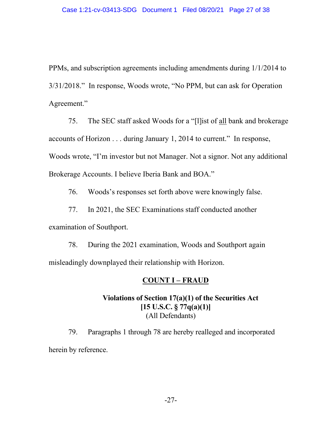PPMs, and subscription agreements including amendments during 1/1/2014 to 3/31/2018." In response, Woods wrote, "No PPM, but can ask for Operation Agreement."

75. The SEC staff asked Woods for a "[l]ist of all bank and brokerage accounts of Horizon . . . during January 1, 2014 to current." In response, Woods wrote, "I'm investor but not Manager. Not a signor. Not any additional Brokerage Accounts. I believe Iberia Bank and BOA."

76. Woods's responses set forth above were knowingly false.

77. In 2021, the SEC Examinations staff conducted another examination of Southport.

78. During the 2021 examination, Woods and Southport again misleadingly downplayed their relationship with Horizon.

## **COUNT I – FRAUD**

# **Violations of Section 17(a)(1) of the Securities Act [15 U.S.C. § 77q(a)(1)]**  (All Defendants)

79. Paragraphs 1 through 78 are hereby realleged and incorporated herein by reference.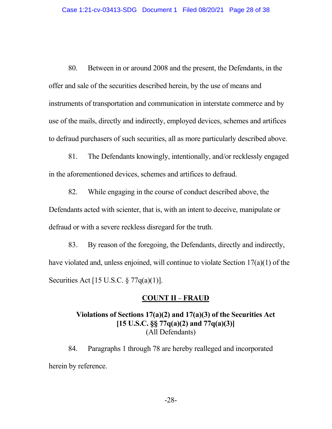80. Between in or around 2008 and the present, the Defendants, in the offer and sale of the securities described herein, by the use of means and instruments of transportation and communication in interstate commerce and by use of the mails, directly and indirectly, employed devices, schemes and artifices to defraud purchasers of such securities, all as more particularly described above.

81. The Defendants knowingly, intentionally, and/or recklessly engaged in the aforementioned devices, schemes and artifices to defraud.

82. While engaging in the course of conduct described above, the Defendants acted with scienter, that is, with an intent to deceive, manipulate or defraud or with a severe reckless disregard for the truth.

83. By reason of the foregoing, the Defendants, directly and indirectly, have violated and, unless enjoined, will continue to violate Section 17(a)(1) of the Securities Act [15 U.S.C. § 77q(a)(1)].

### **COUNT II – FRAUD**

# **Violations of Sections 17(a)(2) and 17(a)(3) of the Securities Act [15 U.S.C. §§ 77q(a)(2) and 77q(a)(3)]**  (All Defendants)

84. Paragraphs 1 through 78 are hereby realleged and incorporated herein by reference.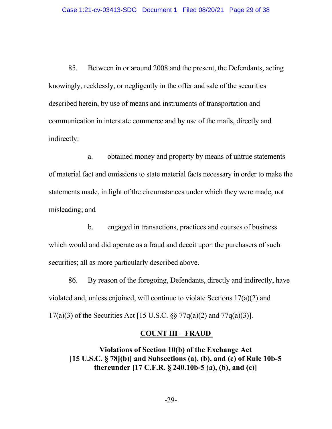85. Between in or around 2008 and the present, the Defendants, acting knowingly, recklessly, or negligently in the offer and sale of the securities described herein, by use of means and instruments of transportation and communication in interstate commerce and by use of the mails, directly and indirectly:

 a. obtained money and property by means of untrue statements of material fact and omissions to state material facts necessary in order to make the statements made, in light of the circumstances under which they were made, not misleading; and

 b. engaged in transactions, practices and courses of business which would and did operate as a fraud and deceit upon the purchasers of such securities; all as more particularly described above.

86. By reason of the foregoing, Defendants, directly and indirectly, have violated and, unless enjoined, will continue to violate Sections 17(a)(2) and 17(a)(3) of the Securities Act [15 U.S.C. §§ 77q(a)(2) and 77q(a)(3)].

### **COUNT III – FRAUD**

**Violations of Section 10(b) of the Exchange Act [15 U.S.C. § 78j(b)] and Subsections (a), (b), and (c) of Rule 10b-5 thereunder [17 C.F.R. § 240.10b-5 (a), (b), and (c)]**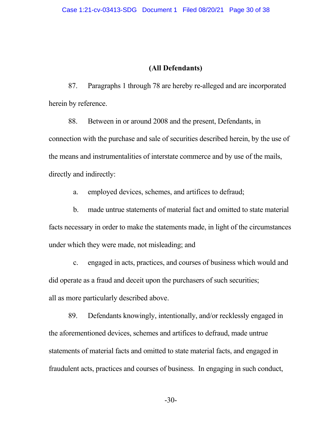### **(All Defendants)**

87. Paragraphs 1 through 78 are hereby re-alleged and are incorporated herein by reference.

88. Between in or around 2008 and the present, Defendants, in connection with the purchase and sale of securities described herein, by the use of the means and instrumentalities of interstate commerce and by use of the mails, directly and indirectly:

a. employed devices, schemes, and artifices to defraud;

 b. made untrue statements of material fact and omitted to state material facts necessary in order to make the statements made, in light of the circumstances under which they were made, not misleading; and

 c. engaged in acts, practices, and courses of business which would and did operate as a fraud and deceit upon the purchasers of such securities; all as more particularly described above.

89. Defendants knowingly, intentionally, and/or recklessly engaged in the aforementioned devices, schemes and artifices to defraud, made untrue statements of material facts and omitted to state material facts, and engaged in fraudulent acts, practices and courses of business. In engaging in such conduct,

-30-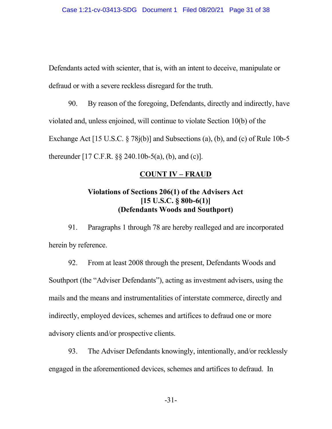Defendants acted with scienter, that is, with an intent to deceive, manipulate or defraud or with a severe reckless disregard for the truth.

90. By reason of the foregoing, Defendants, directly and indirectly, have violated and, unless enjoined, will continue to violate Section 10(b) of the Exchange Act [15 U.S.C. § 78j(b)] and Subsections (a), (b), and (c) of Rule 10b-5 thereunder [17 C.F.R. §§ 240.10b-5(a), (b), and (c)].

### **COUNT IV – FRAUD**

# **Violations of Sections 206(1) of the Advisers Act [15 U.S.C. § 80b-6(1)] (Defendants Woods and Southport)**

91. Paragraphs 1 through 78 are hereby realleged and are incorporated herein by reference.

92. From at least 2008 through the present, Defendants Woods and Southport (the "Adviser Defendants"), acting as investment advisers, using the mails and the means and instrumentalities of interstate commerce, directly and indirectly, employed devices, schemes and artifices to defraud one or more advisory clients and/or prospective clients.

93. The Adviser Defendants knowingly, intentionally, and/or recklessly engaged in the aforementioned devices, schemes and artifices to defraud. In

-31-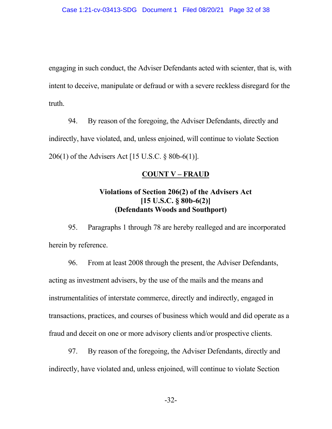engaging in such conduct, the Adviser Defendants acted with scienter, that is, with intent to deceive, manipulate or defraud or with a severe reckless disregard for the truth.

94. By reason of the foregoing, the Adviser Defendants, directly and indirectly, have violated, and, unless enjoined, will continue to violate Section 206(1) of the Advisers Act [15 U.S.C. § 80b-6(1)].

#### **COUNT V – FRAUD**

## **Violations of Section 206(2) of the Advisers Act [15 U.S.C. § 80b-6(2)] (Defendants Woods and Southport)**

95. Paragraphs 1 through 78 are hereby realleged and are incorporated herein by reference.

96. From at least 2008 through the present, the Adviser Defendants, acting as investment advisers, by the use of the mails and the means and instrumentalities of interstate commerce, directly and indirectly, engaged in transactions, practices, and courses of business which would and did operate as a fraud and deceit on one or more advisory clients and/or prospective clients.

97. By reason of the foregoing, the Adviser Defendants, directly and indirectly, have violated and, unless enjoined, will continue to violate Section

-32-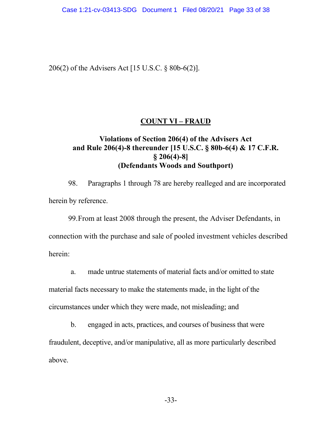206(2) of the Advisers Act [15 U.S.C. § 80b-6(2)].

### **COUNT VI – FRAUD**

## **Violations of Section 206(4) of the Advisers Act and Rule 206(4)-8 thereunder [15 U.S.C. § 80b-6(4) & 17 C.F.R. § 206(4)-8] (Defendants Woods and Southport)**

98. Paragraphs 1 through 78 are hereby realleged and are incorporated herein by reference.

99.From at least 2008 through the present, the Adviser Defendants, in connection with the purchase and sale of pooled investment vehicles described herein:

a. made untrue statements of material facts and/or omitted to state

material facts necessary to make the statements made, in the light of the circumstances under which they were made, not misleading; and

b. engaged in acts, practices, and courses of business that were fraudulent, deceptive, and/or manipulative, all as more particularly described above.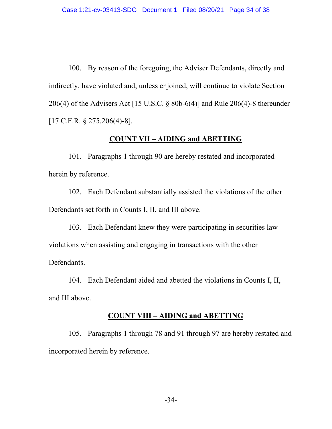100. By reason of the foregoing, the Adviser Defendants, directly and indirectly, have violated and, unless enjoined, will continue to violate Section 206(4) of the Advisers Act [15 U.S.C. § 80b-6(4)] and Rule 206(4)-8 thereunder [17 C.F.R. § 275.206(4)-8].

### **COUNT VII – AIDING and ABETTING**

101. Paragraphs 1 through 90 are hereby restated and incorporated herein by reference.

102. Each Defendant substantially assisted the violations of the other Defendants set forth in Counts I, II, and III above.

103. Each Defendant knew they were participating in securities law violations when assisting and engaging in transactions with the other Defendants.

104. Each Defendant aided and abetted the violations in Counts I, II, and III above.

#### **COUNT VIII – AIDING and ABETTING**

105. Paragraphs 1 through 78 and 91 through 97 are hereby restated and incorporated herein by reference.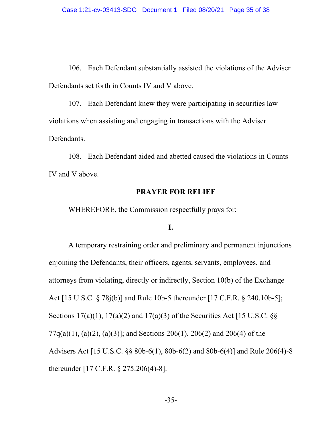106. Each Defendant substantially assisted the violations of the Adviser Defendants set forth in Counts IV and V above.

107. Each Defendant knew they were participating in securities law violations when assisting and engaging in transactions with the Adviser Defendants.

108. Each Defendant aided and abetted caused the violations in Counts IV and V above.

### **PRAYER FOR RELIEF**

WHEREFORE, the Commission respectfully prays for:

### **I.**

 A temporary restraining order and preliminary and permanent injunctions enjoining the Defendants, their officers, agents, servants, employees, and attorneys from violating, directly or indirectly, Section 10(b) of the Exchange Act [15 U.S.C. § 78j(b)] and Rule 10b-5 thereunder [17 C.F.R. § 240.10b-5]; Sections 17(a)(1), 17(a)(2) and 17(a)(3) of the Securities Act [15 U.S.C.  $\S$ 77q(a)(1), (a)(2), (a)(3)]; and Sections 206(1), 206(2) and 206(4) of the Advisers Act [15 U.S.C. §§ 80b-6(1), 80b-6(2) and 80b-6(4)] and Rule 206(4)-8 thereunder [17 C.F.R. § 275.206(4)-8].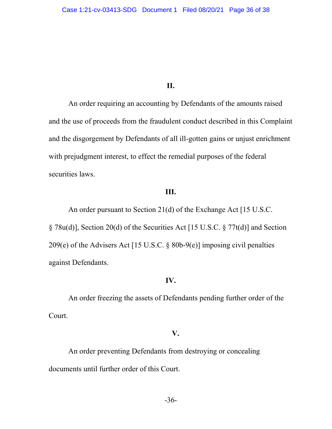#### **II.**

An order requiring an accounting by Defendants of the amounts raised and the use of proceeds from the fraudulent conduct described in this Complaint and the disgorgement by Defendants of all ill-gotten gains or unjust enrichment with prejudgment interest, to effect the remedial purposes of the federal securities laws.

### **III.**

An order pursuant to Section 21(d) of the Exchange Act [15 U.S.C. § 78u(d)], Section 20(d) of the Securities Act [15 U.S.C. § 77t(d)] and Section 209(e) of the Advisers Act [15 U.S.C. § 80b-9(e)] imposing civil penalties against Defendants.

#### **IV.**

An order freezing the assets of Defendants pending further order of the Court.

#### **V.**

An order preventing Defendants from destroying or concealing documents until further order of this Court.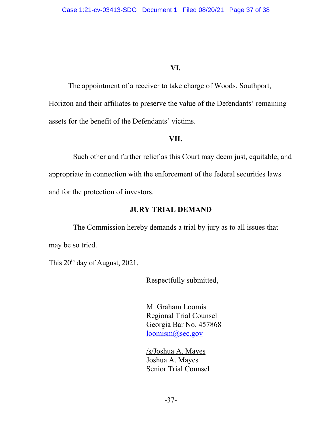### **VI.**

The appointment of a receiver to take charge of Woods, Southport, Horizon and their affiliates to preserve the value of the Defendants' remaining assets for the benefit of the Defendants' victims.

#### **VII.**

 Such other and further relief as this Court may deem just, equitable, and appropriate in connection with the enforcement of the federal securities laws and for the protection of investors.

### **JURY TRIAL DEMAND**

The Commission hereby demands a trial by jury as to all issues that may be so tried.

This 20<sup>th</sup> day of August, 2021.

Respectfully submitted,

M. Graham Loomis Regional Trial Counsel Georgia Bar No. 457868 loomism@sec.gov

 /s/Joshua A. Mayes Joshua A. Mayes Senior Trial Counsel